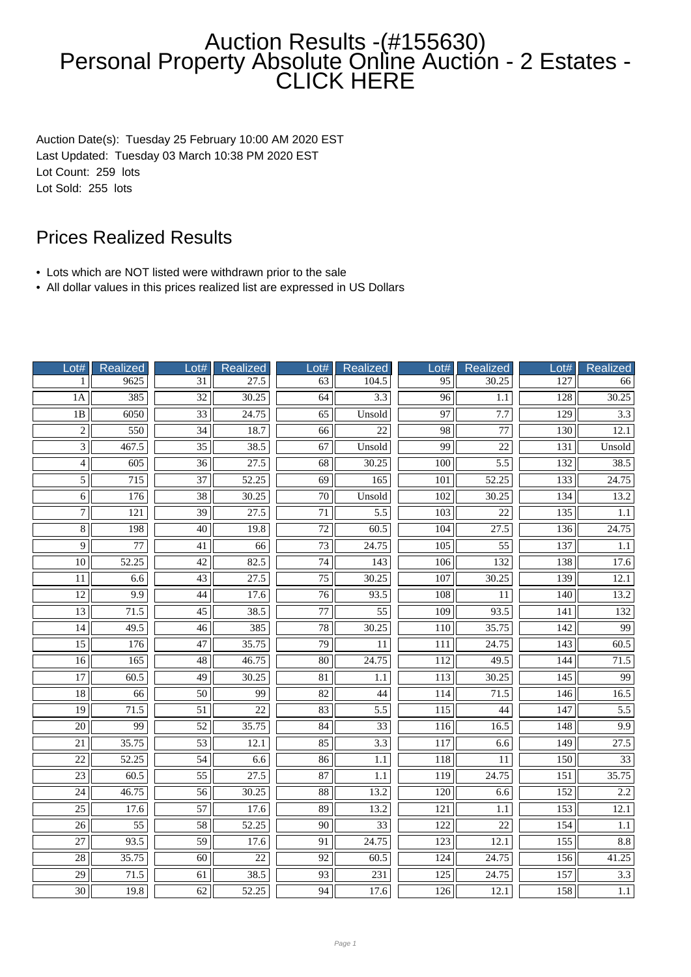## Auction Results -(#155630) Personal Property Absolute Online Auctión - 2 Estates -CLICK HERE

Auction Date(s): Tuesday 25 February 10:00 AM 2020 EST Last Updated: Tuesday 03 March 10:38 PM 2020 EST Lot Count: 259 lots Lot Sold: 255 lots

## Prices Realized Results

- Lots which are NOT listed were withdrawn prior to the sale
- All dollar values in this prices realized list are expressed in US Dollars

| Lot#               | Realized         | Lot#            | <b>Realized</b>    | Lot#                     | <b>Realized</b>  | Lot#             | Realized         | Lot#             | <b>Realized</b> |
|--------------------|------------------|-----------------|--------------------|--------------------------|------------------|------------------|------------------|------------------|-----------------|
| 1                  | 9625             | 31              | 27.5               | 63                       | 104.5            | 95               | 30.25            | 127              | 66              |
| 1A                 | 385              | $\overline{32}$ | 30.25              | 64                       | 3.3              | $\overline{96}$  | 1.1              | 128              | 30.25           |
| 1B                 | 6050             | $\overline{33}$ | 24.75              | 65                       | Unsold           | $\overline{97}$  | $\overline{7.7}$ | 129              | 3.3             |
| $\overline{2}$     | 550              | $\overline{34}$ | 18.7               | 66                       | $\overline{22}$  | 98               | 77               | 130              | 12.1            |
| $\overline{3}$     | 467.5            | $\overline{35}$ | 38.5               | 67                       | Unsold           | 99               | 22               | 131              | Unsold          |
| $\overline{4}$     | $\overline{605}$ | $\overline{36}$ | 27.5               | $\overline{68}$          | 30.25            | $\overline{100}$ | $\overline{5.5}$ | $\overline{132}$ | 38.5            |
| $\overline{5}$     | $\overline{715}$ | $\overline{37}$ | $\overline{52.25}$ | $\overline{69}$          | 165              | 101              | 52.25            | 133              | 24.75           |
| $\overline{6}$     | 176              | $\overline{38}$ | 30.25              | 70                       | Unsold           | 102              | 30.25            | 134              | 13.2            |
| $\overline{7}$     | 121              | $\overline{39}$ | 27.5               | $\overline{71}$          | 5.5              | 103              | $\overline{22}$  | 135              | 1.1             |
| $\overline{\bf 8}$ | 198              | 40              | 19.8               | 72                       | 60.5             | 104              | 27.5             | 136              | 24.75           |
| $\overline{9}$     | 77               | 41              | 66                 | $\overline{73}$          | 24.75            | 105              | 55               | 137              | 1.1             |
| $\overline{10}$    | 52.25            | $\overline{42}$ | 82.5               | $\overline{74}$          | $\overline{143}$ | 106              | $\overline{132}$ | 138              | 17.6            |
| $\overline{11}$    | 6.6              | $\overline{43}$ | $\overline{27.5}$  | $\overline{75}$          | 30.25            | 107              | 30.25            | 139              | 12.1            |
| $\overline{12}$    | 9.9              | 44              | 17.6               | $\overline{76}$          | 93.5             | 108              | $\overline{11}$  | 140              | 13.2            |
| $\overline{13}$    | 71.5             | $\overline{45}$ | 38.5               | $\overline{77}$          | $\overline{55}$  | 109              | 93.5             | 141              | 132             |
| 14                 | 49.5             | 46              | 385                | 78                       | 30.25            | 110              | 35.75            | 142              | $\overline{99}$ |
| $\overline{15}$    | 176              | $\overline{47}$ | 35.75              | $\overline{79}$          | 11               | 111              | 24.75            | $\overline{143}$ | 60.5            |
| $\overline{16}$    | 165              | $\overline{48}$ | 46.75              | $\overline{80}$          | 24.75            | 112              | 49.5             | 144              | 71.5            |
| $\overline{17}$    | 60.5             | 49              | 30.25              | 81                       | 1.1              | 113              | 30.25            | $\overline{145}$ | 99              |
| $\overline{18}$    | 66               | 50              | 99                 | 82                       | 44               | 114              | 71.5             | 146              | 16.5            |
| 19                 | 71.5             | 51              | 22                 | 83                       | 5.5              | 115              | 44               | 147              | 5.5             |
| $\overline{20}$    | $\overline{99}$  | $\overline{52}$ | 35.75              | $\overline{84}$          | $\overline{33}$  | $\overline{116}$ | 16.5             | 148              | 9.9             |
| $\overline{21}$    | 35.75            | $\overline{53}$ | 12.1               | 85                       | $\overline{3.3}$ | $\overline{117}$ | 6.6              | 149              | 27.5            |
| $\overline{22}$    | 52.25            | $\overline{54}$ | 6.6                | 86                       | $1.1\,$          | 118              | $11\,$           | 150              | $\overline{33}$ |
| $\overline{23}$    | 60.5             | $\overline{55}$ | 27.5               | 87                       | 1.1              | 119              | 24.75            | 151              | 35.75           |
| 24                 | 46.75            | 56              | 30.25              | $\overline{\textbf{88}}$ | 13.2             | 120              | 6.6              | 152              | 2.2             |
| $\overline{25}$    | 17.6             | 57              | 17.6               | 89                       | 13.2             | 121              | $1.1\,$          | 153              | 12.1            |
| $\overline{26}$    | $\overline{55}$  | $\overline{58}$ | 52.25              | $\overline{90}$          | $\overline{33}$  | $\overline{122}$ | $\overline{22}$  | 154              | 1.1             |
| $\overline{27}$    | 93.5             | $\overline{59}$ | 17.6               | 91                       | 24.75            | 123              | 12.1             | 155              | 8.8             |
| $\overline{28}$    | 35.75            | $\overline{60}$ | $\overline{22}$    | $\overline{92}$          | 60.5             | 124              | 24.75            | 156              | 41.25           |
| $\overline{29}$    | 71.5             | 61              | 38.5               | 93                       | 231              | 125              | 24.75            | 157              | 3.3             |
| 30                 | 19.8             | 62              | 52.25              | 94                       | 17.6             | 126              | 12.1             | 158              | 1.1             |